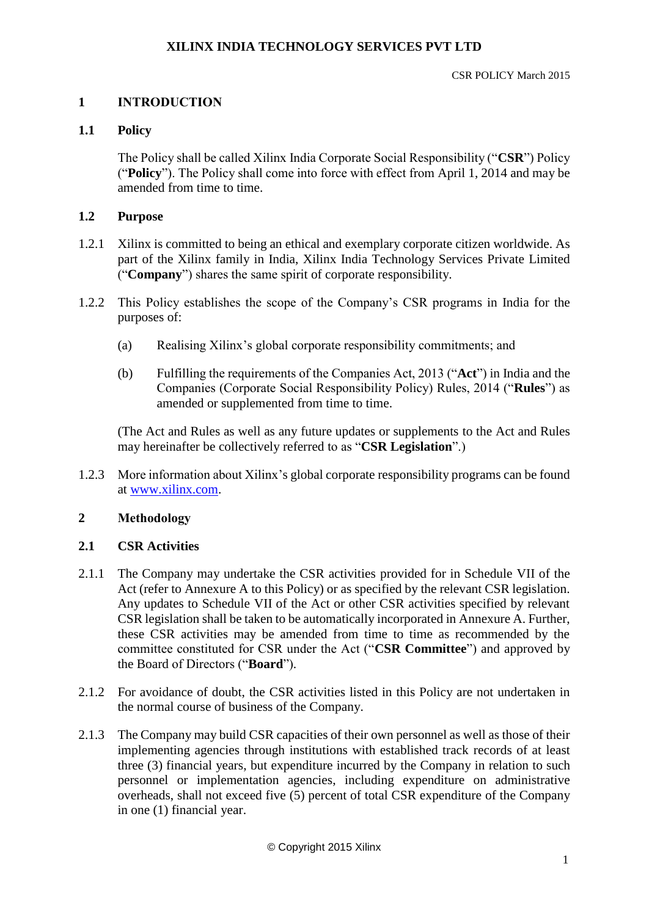# **1 INTRODUCTION**

## **1.1 Policy**

The Policy shall be called Xilinx India Corporate Social Responsibility ("**CSR**") Policy ("**Policy**"). The Policy shall come into force with effect from April 1, 2014 and may be amended from time to time.

## **1.2 Purpose**

- 1.2.1 Xilinx is committed to being an ethical and exemplary corporate citizen worldwide. As part of the Xilinx family in India, Xilinx India Technology Services Private Limited ("**Company**") shares the same spirit of corporate responsibility.
- 1.2.2 This Policy establishes the scope of the Company's CSR programs in India for the purposes of:
	- (a) Realising Xilinx's global corporate responsibility commitments; and
	- (b) Fulfilling the requirements of the Companies Act, 2013 ("**Act**") in India and the Companies (Corporate Social Responsibility Policy) Rules, 2014 ("**Rules**") as amended or supplemented from time to time.

(The Act and Rules as well as any future updates or supplements to the Act and Rules may hereinafter be collectively referred to as "**CSR Legislation**".)

1.2.3 More information about Xilinx's global corporate responsibility programs can be found at [www.xilinx.com.](http://www.xilinx.com/)

# **2 Methodology**

#### **2.1 CSR Activities**

- 2.1.1 The Company may undertake the CSR activities provided for in Schedule VII of the Act (refer to Annexure A to this Policy) or as specified by the relevant CSR legislation. Any updates to Schedule VII of the Act or other CSR activities specified by relevant CSR legislation shall be taken to be automatically incorporated in Annexure A. Further, these CSR activities may be amended from time to time as recommended by the committee constituted for CSR under the Act ("**CSR Committee**") and approved by the Board of Directors ("**Board**").
- 2.1.2 For avoidance of doubt, the CSR activities listed in this Policy are not undertaken in the normal course of business of the Company.
- 2.1.3 The Company may build CSR capacities of their own personnel as well as those of their implementing agencies through institutions with established track records of at least three (3) financial years, but expenditure incurred by the Company in relation to such personnel or implementation agencies, including expenditure on administrative overheads, shall not exceed five (5) percent of total CSR expenditure of the Company in one (1) financial year.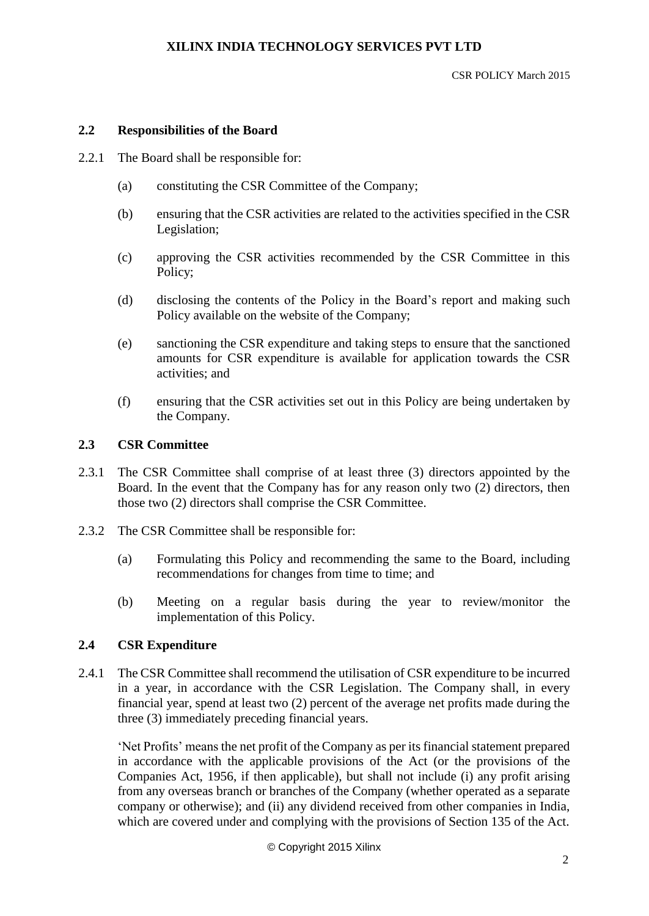#### CSR POLICY March 2015

#### **2.2 Responsibilities of the Board**

- 2.2.1 The Board shall be responsible for:
	- (a) constituting the CSR Committee of the Company;
	- (b) ensuring that the CSR activities are related to the activities specified in the CSR Legislation;
	- (c) approving the CSR activities recommended by the CSR Committee in this Policy;
	- (d) disclosing the contents of the Policy in the Board's report and making such Policy available on the website of the Company;
	- (e) sanctioning the CSR expenditure and taking steps to ensure that the sanctioned amounts for CSR expenditure is available for application towards the CSR activities; and
	- (f) ensuring that the CSR activities set out in this Policy are being undertaken by the Company.

#### **2.3 CSR Committee**

- 2.3.1 The CSR Committee shall comprise of at least three (3) directors appointed by the Board. In the event that the Company has for any reason only two (2) directors, then those two (2) directors shall comprise the CSR Committee.
- 2.3.2 The CSR Committee shall be responsible for:
	- (a) Formulating this Policy and recommending the same to the Board, including recommendations for changes from time to time; and
	- (b) Meeting on a regular basis during the year to review/monitor the implementation of this Policy.

## **2.4 CSR Expenditure**

2.4.1 The CSR Committee shall recommend the utilisation of CSR expenditure to be incurred in a year, in accordance with the CSR Legislation. The Company shall, in every financial year, spend at least two (2) percent of the average net profits made during the three (3) immediately preceding financial years.

'Net Profits' means the net profit of the Company as per its financial statement prepared in accordance with the applicable provisions of the Act (or the provisions of the Companies Act, 1956, if then applicable), but shall not include (i) any profit arising from any overseas branch or branches of the Company (whether operated as a separate company or otherwise); and (ii) any dividend received from other companies in India, which are covered under and complying with the provisions of Section 135 of the Act.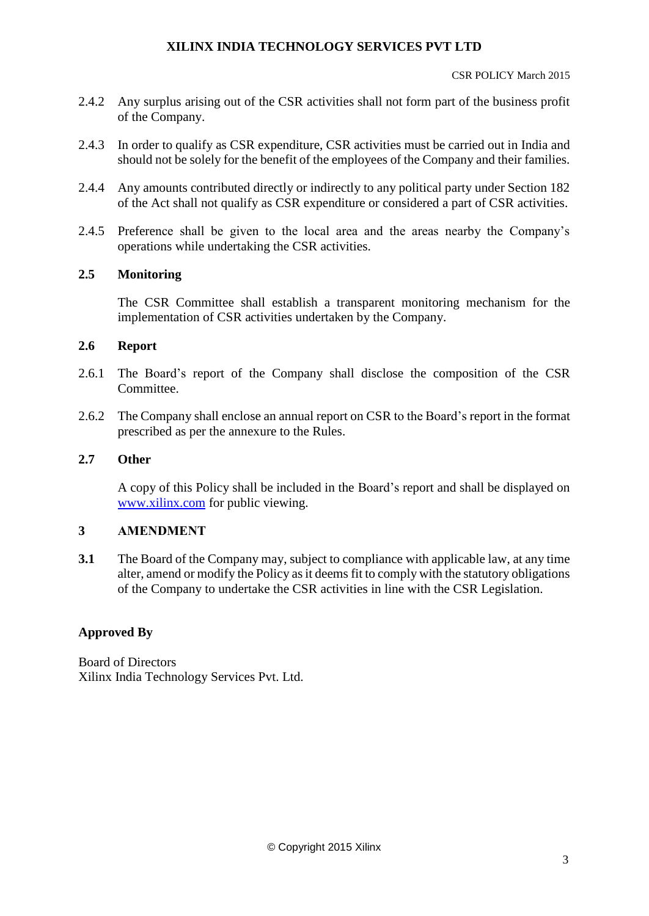CSR POLICY March 2015

- 2.4.2 Any surplus arising out of the CSR activities shall not form part of the business profit of the Company.
- 2.4.3 In order to qualify as CSR expenditure, CSR activities must be carried out in India and should not be solely for the benefit of the employees of the Company and their families.
- 2.4.4 Any amounts contributed directly or indirectly to any political party under Section 182 of the Act shall not qualify as CSR expenditure or considered a part of CSR activities.
- 2.4.5 Preference shall be given to the local area and the areas nearby the Company's operations while undertaking the CSR activities.

## **2.5 Monitoring**

The CSR Committee shall establish a transparent monitoring mechanism for the implementation of CSR activities undertaken by the Company.

#### **2.6 Report**

- 2.6.1 The Board's report of the Company shall disclose the composition of the CSR Committee.
- 2.6.2 The Company shall enclose an annual report on CSR to the Board's report in the format prescribed as per the annexure to the Rules.

# **2.7 Other**

A copy of this Policy shall be included in the Board's report and shall be displayed on [www.xilinx.com](http://www.xilinx.com/) for public viewing.

# **3 AMENDMENT**

**3.1** The Board of the Company may, subject to compliance with applicable law, at any time alter, amend or modify the Policy as it deems fit to comply with the statutory obligations of the Company to undertake the CSR activities in line with the CSR Legislation.

#### **Approved By**

Board of Directors Xilinx India Technology Services Pvt. Ltd.